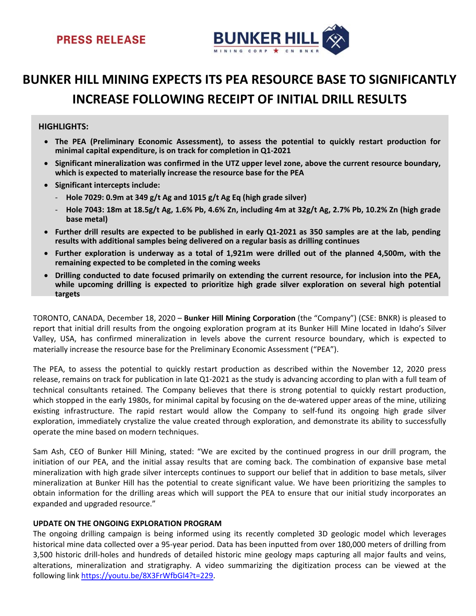

# **BUNKER HILL MINING EXPECTS ITS PEA RESOURCE BASE TO SIGNIFICANTLY INCREASE FOLLOWING RECEIPT OF INITIAL DRILL RESULTS**

### **HIGHLIGHTS:**

- **The PEA (Preliminary Economic Assessment), to assess the potential to quickly restart production for minimal capital expenditure, is on track for completion in Q1‐2021**
- **Significant mineralization was confirmed in the UTZ upper level zone, above the current resource boundary, which is expected to materially increase the resource base for the PEA**
- **Significant intercepts include:** 
	- ‐ **Hole 7029: 0.9m at 349 g/t Ag and 1015 g/t Ag Eq (high grade silver)**
	- Hole 7043: 18m at 18.5g/t Ag, 1.6% Pb, 4.6% Zn, including 4m at 32g/t Ag, 2.7% Pb, 10.2% Zn (high grade **base metal)**
- Further drill results are expected to be published in early Q1-2021 as 350 samples are at the lab, pending **results with additional samples being delivered on a regular basis as drilling continues**
- Further exploration is underway as a total of 1,921m were drilled out of the planned 4,500m, with the **remaining expected to be completed in the coming weeks**
- **Drilling conducted to date focused primarily on extending the current resource, for inclusion into the PEA, while upcoming drilling is expected to prioritize high grade silver exploration on several high potential targets**

TORONTO, CANADA, December 18, 2020 – **Bunker Hill Mining Corporation** (the "Company") (CSE: BNKR) is pleased to report that initial drill results from the ongoing exploration program at its Bunker Hill Mine located in Idaho's Silver Valley, USA, has confirmed mineralization in levels above the current resource boundary, which is expected to materially increase the resource base for the Preliminary Economic Assessment ("PEA").

The PEA, to assess the potential to quickly restart production as described within the November 12, 2020 press release, remains on track for publication in late Q1‐2021 as the study is advancing according to plan with a full team of technical consultants retained. The Company believes that there is strong potential to quickly restart production, which stopped in the early 1980s, for minimal capital by focusing on the de-watered upper areas of the mine, utilizing existing infrastructure. The rapid restart would allow the Company to self-fund its ongoing high grade silver exploration, immediately crystalize the value created through exploration, and demonstrate its ability to successfully operate the mine based on modern techniques.

Sam Ash, CEO of Bunker Hill Mining, stated: "We are excited by the continued progress in our drill program, the initiation of our PEA, and the initial assay results that are coming back. The combination of expansive base metal mineralization with high grade silver intercepts continues to support our belief that in addition to base metals, silver mineralization at Bunker Hill has the potential to create significant value. We have been prioritizing the samples to obtain information for the drilling areas which will support the PEA to ensure that our initial study incorporates an expanded and upgraded resource."

### **UPDATE ON THE ONGOING EXPLORATION PROGRAM**

The ongoing drilling campaign is being informed using its recently completed 3D geologic model which leverages historical mine data collected over a 95‐year period. Data has been inputted from over 180,000 meters of drilling from 3,500 historic drill‐holes and hundreds of detailed historic mine geology maps capturing all major faults and veins, alterations, mineralization and stratigraphy. A video summarizing the digitization process can be viewed at the following link https://youtu.be/8X3FrWfbGl4?t=229.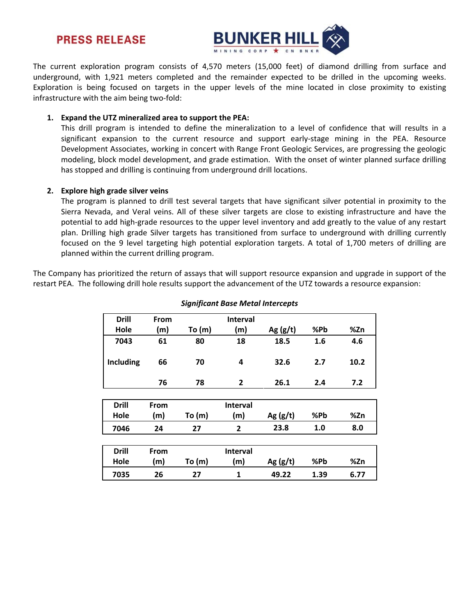## **PRESS RELEASE**



The current exploration program consists of 4,570 meters (15,000 feet) of diamond drilling from surface and underground, with 1,921 meters completed and the remainder expected to be drilled in the upcoming weeks. Exploration is being focused on targets in the upper levels of the mine located in close proximity to existing infrastructure with the aim being two-fold:

#### **1. Expand the UTZ mineralized area to support the PEA:**

This drill program is intended to define the mineralization to a level of confidence that will results in a significant expansion to the current resource and support early-stage mining in the PEA. Resource Development Associates, working in concert with Range Front Geologic Services, are progressing the geologic modeling, block model development, and grade estimation. With the onset of winter planned surface drilling has stopped and drilling is continuing from underground drill locations.

### **2. Explore high grade silver veins**

The program is planned to drill test several targets that have significant silver potential in proximity to the Sierra Nevada, and Veral veins. All of these silver targets are close to existing infrastructure and have the potential to add high‐grade resources to the upper level inventory and add greatly to the value of any restart plan. Drilling high grade Silver targets has transitioned from surface to underground with drilling currently focused on the 9 level targeting high potential exploration targets. A total of 1,700 meters of drilling are planned within the current drilling program.

The Company has prioritized the return of assays that will support resource expansion and upgrade in support of the restart PEA. The following drill hole results support the advancement of the UTZ towards a resource expansion:

| <b>Drill</b> | <b>From</b> |          | <b>Interval</b> |            |     |      |
|--------------|-------------|----------|-----------------|------------|-----|------|
| Hole         | (m)         | To $(m)$ | (m)             | Ag $(g/t)$ | %Pb | %Zn  |
| 7043         | 61          | 80       | 18              | 18.5       | 1.6 | 4.6  |
| Including    | 66          | 70       | 4               | 32.6       | 2.7 | 10.2 |
|              | 76          | 78       | 2               | 26.1       | 2.4 | 7.2  |

#### *Significant Base Metal Intercepts*

| <b>Drill</b> | <b>From</b> |        | <b>Interval</b> |            |     |     |
|--------------|-------------|--------|-----------------|------------|-----|-----|
| Hole         | (m)         | To (m) | (m              | Ag $(g/t)$ | %Pb | %Zn |
| 7046         | 24          | 27     |                 | 23.8       | 1.0 | 8.0 |
|              |             |        |                 |            |     |     |

| Drill | From |        | <b>Interval</b> |            |      |      |
|-------|------|--------|-----------------|------------|------|------|
| Hole  | (m)  | To (m) | (m)             | Ag $(g/t)$ | %Pb  | %Zn  |
| 7035  | 26   | 77     |                 | 49.22      | 1.39 | 6.77 |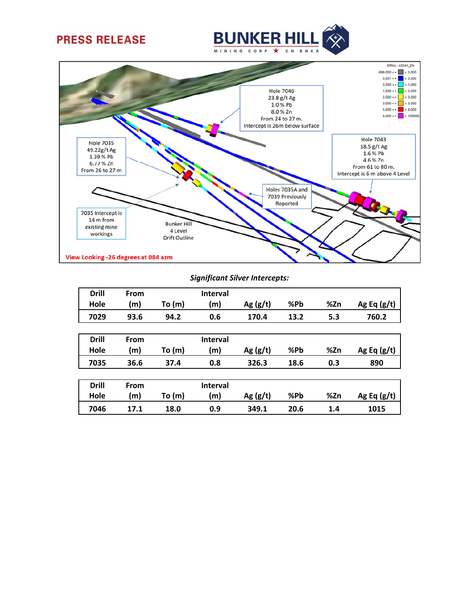





#### *Significant Silver Intercepts:*

| <b>Drill</b> | From |          | <b>Interval</b> |            |      |     |               |
|--------------|------|----------|-----------------|------------|------|-----|---------------|
| Hole         | (m)  | To(m)    | (m)             | Ag $(g/t)$ | %Pb  | %Zn | Ag Eq $(g/t)$ |
| 7029         | 93.6 | 94.2     | 0.6             | 170.4      | 13.2 | 5.3 | 760.2         |
|              |      |          |                 |            |      |     |               |
| <b>Drill</b> | From |          | <b>Interval</b> |            |      |     |               |
| Hole         | (m)  | To (m)   | (m)             | Ag $(g/t)$ | %Pb  | %Zn | Ag Eq $(g/t)$ |
| 7035         | 36.6 | 37.4     | 0.8             | 326.3      | 18.6 | 0.3 | 890           |
|              |      |          |                 |            |      |     |               |
| <b>Drill</b> | From |          | <b>Interval</b> |            |      |     |               |
| Hole         | (m)  | To $(m)$ | (m)             | Ag $(g/t)$ | %Pb  | %Zn | Ag Eq $(g/t)$ |
| 7046         | 17.1 | 18.0     | 0.9             | 349.1      | 20.6 | 1.4 | 1015          |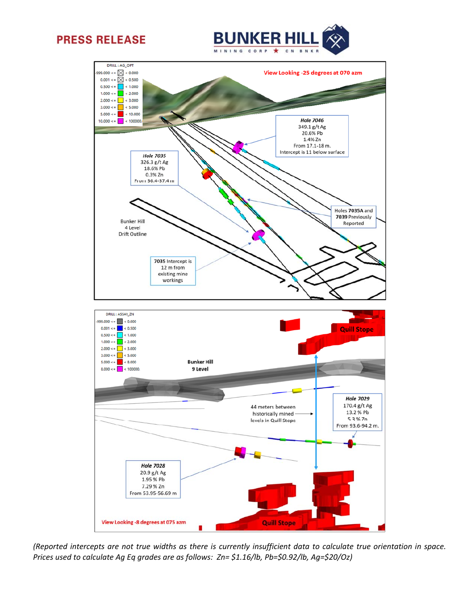





(Reported intercepts are not true widths as there is currently insufficient data to calculate true orientation in space. *Prices used to calculate Ag Eq grades are as follows: Zn= \$1.16/lb, Pb=\$0.92/lb, Ag=\$20/Oz)*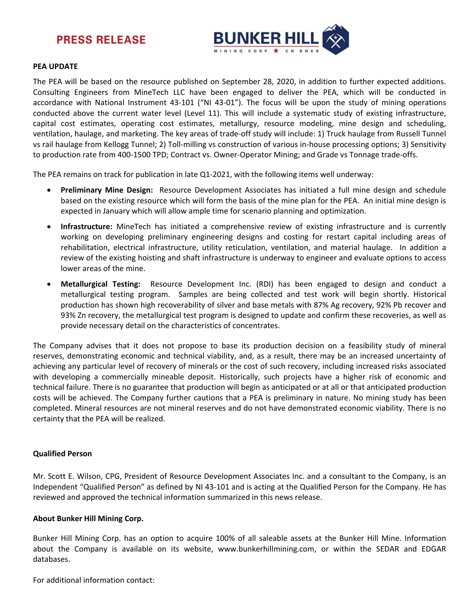



#### **PEA UPDATE**

The PEA will be based on the resource published on September 28, 2020, in addition to further expected additions. Consulting Engineers from MineTech LLC have been engaged to deliver the PEA, which will be conducted in accordance with National Instrument 43‐101 ("NI 43‐01"). The focus will be upon the study of mining operations conducted above the current water level (Level 11). This will include a systematic study of existing infrastructure, capital cost estimates, operating cost estimates, metallurgy, resource modeling, mine design and scheduling, ventilation, haulage, and marketing. The key areas of trade‐off study will include: 1) Truck haulage from Russell Tunnel vs rail haulage from Kellogg Tunnel; 2) Toll‐milling vs construction of various in‐house processing options; 3) Sensitivity to production rate from 400-1500 TPD; Contract vs. Owner-Operator Mining; and Grade vs Tonnage trade-offs.

The PEA remains on track for publication in late Q1-2021, with the following items well underway:

- **Preliminary Mine Design:**  Resource Development Associates has initiated a full mine design and schedule based on the existing resource which will form the basis of the mine plan for the PEA. An initial mine design is expected in January which will allow ample time for scenario planning and optimization.
- **Infrastructure:** MineTech has initiated a comprehensive review of existing infrastructure and is currently working on developing preliminary engineering designs and costing for restart capital including areas of rehabilitation, electrical infrastructure, utility reticulation, ventilation, and material haulage. In addition a review of the existing hoisting and shaft infrastructure is underway to engineer and evaluate options to access lower areas of the mine.
- **Metallurgical Testing:**  Resource Development Inc. (RDI) has been engaged to design and conduct a metallurgical testing program. Samples are being collected and test work will begin shortly. Historical production has shown high recoverability of silver and base metals with 87% Ag recovery, 92% Pb recover and 93% Zn recovery, the metallurgical test program is designed to update and confirm these recoveries, as well as provide necessary detail on the characteristics of concentrates.

The Company advises that it does not propose to base its production decision on a feasibility study of mineral reserves, demonstrating economic and technical viability, and, as a result, there may be an increased uncertainty of achieving any particular level of recovery of minerals or the cost of such recovery, including increased risks associated with developing a commercially mineable deposit. Historically, such projects have a higher risk of economic and technical failure. There is no guarantee that production will begin as anticipated or at all or that anticipated production costs will be achieved. The Company further cautions that a PEA is preliminary in nature. No mining study has been completed. Mineral resources are not mineral reserves and do not have demonstrated economic viability. There is no certainty that the PEA will be realized.

### **Qualified Person**

Mr. Scott E. Wilson, CPG, President of Resource Development Associates Inc. and a consultant to the Company, is an Independent "Qualified Person" as defined by NI 43‐101 and is acting at the Qualified Person for the Company. He has reviewed and approved the technical information summarized in this news release.

#### **About Bunker Hill Mining Corp.**

Bunker Hill Mining Corp. has an option to acquire 100% of all saleable assets at the Bunker Hill Mine. Information about the Company is available on its website, www.bunkerhillmining.com, or within the SEDAR and EDGAR databases.

For additional information contact: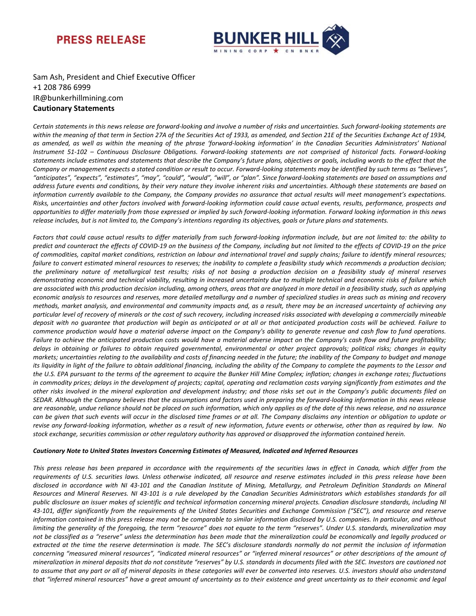



Sam Ash, President and Chief Executive Officer +1 208 786 6999 IR@bunkerhillmining.com **Cautionary Statements**

Certain statements in this news release are forward-looking and involve a number of risks and uncertainties. Such forward-looking statements are within the meaning of that term in Section 27A of the Securities Act of 1933, as amended, and Section 21E of the Securities Exchange Act of 1934, as amended, as well as within the meaning of the phrase 'forward-looking information' in the Canadian Securities Administrators' National Instrument 51-102 - Continuous Disclosure Obligations. Forward-looking statements are not comprised of historical facts. Forward-looking statements include estimates and statements that describe the Company's future plans, objectives or goals, including words to the effect that the Company or management expects a stated condition or result to occur. Forward-looking statements may be identified by such terms as "believes", "anticipates", "expects", "estimates", "may", "could", "would", "will", or "plan". Since forward-looking statements are based on assumptions and address future events and conditions, by their very nature they involve inherent risks and uncertainties. Although these statements are based on information currently available to the Company, the Company provides no assurance that actual results will meet management's expectations. Risks, uncertainties and other factors involved with forward-looking information could cause actual events, results, performance, prospects and opportunities to differ materially from those expressed or implied by such forward-looking information. Forward looking information in this news release includes, but is not limited to, the Company's intentions regarding its objectives, goals or future plans and statements.

Factors that could cause actual results to differ materially from such forward-looking information include, but are not limited to: the ability to predict and counteract the effects of COVID-19 on the business of the Company, including but not limited to the effects of COVID-19 on the price of commodities, capital market conditions, restriction on labour and international travel and supply chains; failure to identify mineral resources; failure to convert estimated mineral resources to reserves; the inability to complete a feasibility study which recommends a production decision; the preliminary nature of metallurgical test results; risks of not basing a production decision on a feasibility study of mineral reserves demonstrating economic and technical viability, resulting in increased uncertainty due to multiple technical and economic risks of failure which are associated with this production decision including, among others, areas that are analyzed in more detail in a feasibility study, such as applying economic analysis to resources and reserves, more detailed metallurgy and a number of specialized studies in areas such as mining and recovery methods, market analysis, and environmental and community impacts and, as a result, there may be an increased uncertainty of achieving any particular level of recovery of minerals or the cost of such recovery, including increased risks associated with developing a commercially mineable deposit with no guarantee that production will begin as anticipated or at all or that anticipated production costs will be achieved. Failure to commence production would have a material adverse impact on the Company's ability to generate revenue and cash flow to fund operations. Failure to achieve the anticipated production costs would have a material adverse impact on the Company's cash flow and future profitability; delays in obtaining or failures to obtain required governmental, environmental or other project approvals; political risks; changes in equity markets; uncertainties relating to the availability and costs of financing needed in the future; the inability of the Company to budget and manage its liquidity in light of the failure to obtain additional financing, including the ability of the Company to complete the payments to the Lessor and the U.S. EPA pursuant to the terms of the agreement to acquire the Bunker Hill Mine Complex; inflation; changes in exchange rates; fluctuations in commodity prices; delays in the development of projects; capital, operating and reclamation costs varying significantly from estimates and the other risks involved in the mineral exploration and development industry; and those risks set out in the Company's public documents filed on SEDAR. Although the Company believes that the assumptions and factors used in preparing the forward-looking information in this news release are reasonable, undue reliance should not be placed on such information, which only applies as of the date of this news release, and no assurance can be given that such events will occur in the disclosed time frames or at all. The Company disclaims any intention or obligation to update or revise any forward-looking information, whether as a result of new information, future events or otherwise, other than as required by law. No stock exchange, securities commission or other regulatory authority has approved or disapproved the information contained herein.

#### *Cautionary Note to United States Investors Concerning Estimates of Measured, Indicated and Inferred Resources*

This press release has been prepared in accordance with the requirements of the securities laws in effect in Canada, which differ from the requirements of U.S. securities laws. Unless otherwise indicated, all resource and reserve estimates included in this press release have been disclosed in accordance with NI 43-101 and the Canadian Institute of Mining, Metallurgy, and Petroleum Definition Standards on Mineral Resources and Mineral Reserves. NI 43-101 is a rule developed by the Canadian Securities Administrators which establishes standards for all public disclosure an issuer makes of scientific and technical information concerning mineral projects. Canadian disclosure standards, including NI 43-101, differ significantly from the requirements of the United States Securities and Exchange Commission ("SEC"), and resource and reserve information contained in this press release may not be comparable to similar information disclosed by U.S. companies. In particular, and without limiting the generality of the foregoing, the term "resource" does not equate to the term "reserves". Under U.S. standards, mineralization may not be classified as a "reserve" unless the determination has been made that the mineralization could be economically and legally produced or extracted at the time the reserve determination is made. The SEC's disclosure standards normally do not permit the inclusion of information concerning "measured mineral resources", "indicated mineral resources" or "inferred mineral resources" or other descriptions of the amount of mineralization in mineral deposits that do not constitute "reserves" by U.S. standards in documents filed with the SEC. Investors are cautioned not to assume that any part or all of mineral deposits in these categories will ever be converted into reserves. U.S. investors should also understand that "inferred mineral resources" have a great amount of uncertainty as to their existence and great uncertainty as to their economic and legal